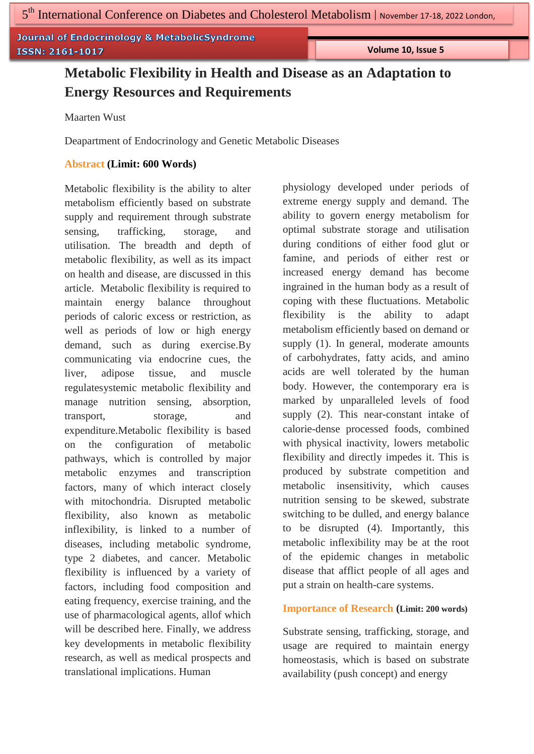**Journal of Endocrinology & MetabolicSyndrome** ISSN: 2161-1017

 **Volume 10, Issue 5**

# **Metabolic Flexibility in Health and Disease as an Adaptation to Energy Resources and Requirements**

Maarten Wust

Deapartment of Endocrinology and Genetic Metabolic Diseases

# **Abstract (Limit: 600 Words)**

Metabolic flexibility is the ability to alter metabolism efficiently based on substrate supply and requirement through substrate sensing, trafficking, storage, and utilisation. The breadth and depth of metabolic flexibility, as well as its impact on health and disease, are discussed in this article. Metabolic flexibility is required to maintain energy balance throughout periods of caloric excess or restriction, as well as periods of low or high energy demand, such as during exercise.By communicating via endocrine cues, the liver, adipose tissue, and muscle regulatesystemic metabolic flexibility and manage nutrition sensing, absorption, transport, storage, and expenditure.Metabolic flexibility is based on the configuration of metabolic pathways, which is controlled by major metabolic enzymes and transcription factors, many of which interact closely with mitochondria. Disrupted metabolic flexibility, also known as metabolic inflexibility, is linked to a number of diseases, including metabolic syndrome, type 2 diabetes, and cancer. Metabolic flexibility is influenced by a variety of factors, including food composition and eating frequency, exercise training, and the use of pharmacological agents, allof which will be described here. Finally, we address key developments in metabolic flexibility research, as well as medical prospects and translational implications. Human

physiology developed under periods of extreme energy supply and demand. The ability to govern energy metabolism for optimal substrate storage and utilisation during conditions of either food glut or famine, and periods of either rest or increased energy demand has become ingrained in the human body as a result of coping with these fluctuations. Metabolic flexibility is the ability to adapt metabolism efficiently based on demand or supply (1). In general, moderate amounts of carbohydrates, fatty acids, and amino acids are well tolerated by the human body. However, the contemporary era is marked by unparalleled levels of food supply (2). This near-constant intake of calorie-dense processed foods, combined with physical inactivity, lowers metabolic flexibility and directly impedes it. This is produced by substrate competition and metabolic insensitivity, which causes nutrition sensing to be skewed, substrate switching to be dulled, and energy balance to be disrupted (4). Importantly, this metabolic inflexibility may be at the root of the epidemic changes in metabolic disease that afflict people of all ages and put a strain on health-care systems.

## **Importance of Research (Limit: 200 words)**

Substrate sensing, trafficking, storage, and usage are required to maintain energy homeostasis, which is based on substrate availability (push concept) and energy